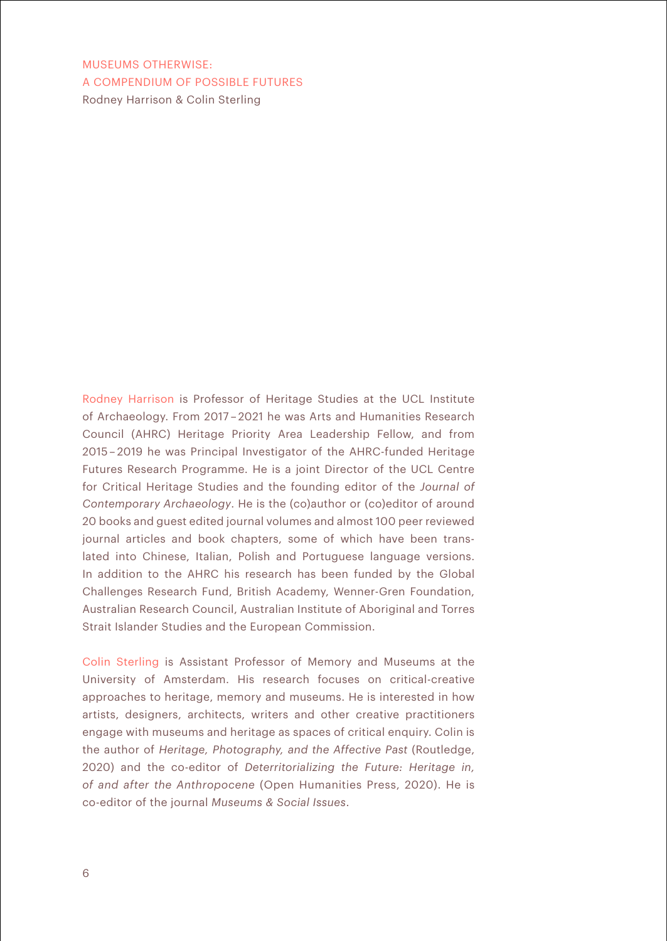MUSEUMS OTHERWISE: A COMPENDIUM OF POSSIBLE FUTURES Rodney Harrison & Colin Sterling

Rodney Harrison is Professor of Heritage Studies at the UCL Institute of Archaeology. From 2017 – 2021 he was Arts and Humanities Research Council (AHRC) Heritage Priority Area Leadership Fellow, and from 2015 – 2019 he was Principal Investigator of the AHRC-funded Heritage Futures Research Programme. He is a joint Director of the UCL Centre for Critical Heritage Studies and the founding editor of the *Journal of Contemporary Archaeology*. He is the (co)author or (co)editor of around 20 books and guest edited journal volumes and almost 100 peer reviewed journal articles and book chapters, some of which have been translated into Chinese, Italian, Polish and Portuguese language versions. In addition to the AHRC his research has been funded by the Global Challenges Research Fund, British Academy, Wenner-Gren Foundation, Australian Research Council, Australian Institute of Aboriginal and Torres Strait Islander Studies and the European Commission.

Colin Sterling is Assistant Professor of Memory and Museums at the University of Amsterdam. His research focuses on critical-creative approaches to heritage, memory and museums. He is interested in how artists, designers, architects, writers and other creative practitioners engage with museums and heritage as spaces of critical enquiry. Colin is the author of *Heritage, Photography, and the Affective Past* (Routledge, 2020) and the co-editor of *Deterritorializing the Future: Heritage in, of and after the Anthropocene* (Open Humanities Press, 2020). He is co-editor of the journal *Museums & Social Issues*.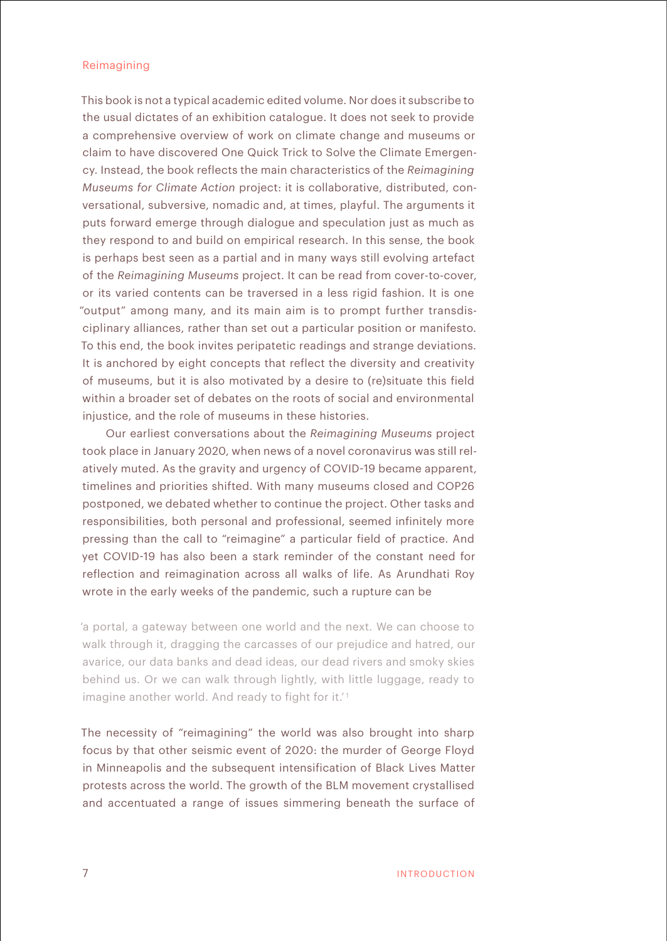## Reimagining

This book is not a typical academic edited volume. Nor does it subscribe to the usual dictates of an exhibition catalogue. It does not seek to provide a comprehensive overview of work on climate change and museums or claim to have discovered One Quick Trick to Solve the Climate Emergency. Instead, the book reflects the main characteristics of the *Reimagining Museums for Climate Action* project: it is collaborative, distributed, conversational, subversive, nomadic and, at times, playful. The arguments it puts forward emerge through dialogue and speculation just as much as they respond to and build on empirical research. In this sense, the book is perhaps best seen as a partial and in many ways still evolving artefact of the *Reimagining Museums* project. It can be read from cover-to-cover, or its varied contents can be traversed in a less rigid fashion. It is one "output" among many, and its main aim is to prompt further transdisciplinary alliances, rather than set out a particular position or manifesto. To this end, the book invites peripatetic readings and strange deviations. It is anchored by eight concepts that reflect the diversity and creativity of museums, but it is also motivated by a desire to (re)situate this field within a broader set of debates on the roots of social and environmental injustice, and the role of museums in these histories.

Our earliest conversations about the *Reimagining Museums* project took place in January 2020, when news of a novel coronavirus was still relatively muted. As the gravity and urgency of COVID-19 became apparent, timelines and priorities shifted. With many museums closed and COP26 postponed, we debated whether to continue the project. Other tasks and responsibilities, both personal and professional, seemed infinitely more pressing than the call to "reimagine" a particular field of practice. And yet COVID-19 has also been a stark reminder of the constant need for reflection and reimagination across all walks of life. As Arundhati Roy wrote in the early weeks of the pandemic, such a rupture can be

'a portal, a gateway between one world and the next. We can choose to walk through it, dragging the carcasses of our prejudice and hatred, our avarice, our data banks and dead ideas, our dead rivers and smoky skies behind us. Or we can walk through lightly, with little luggage, ready to imagine another world. And ready to fight for it.<sup>1</sup>

The necessity of "reimagining" the world was also brought into sharp focus by that other seismic event of 2020: the murder of George Floyd in Minneapolis and the subsequent intensification of Black Lives Matter protests across the world. The growth of the BLM movement crystallised and accentuated a range of issues simmering beneath the surface of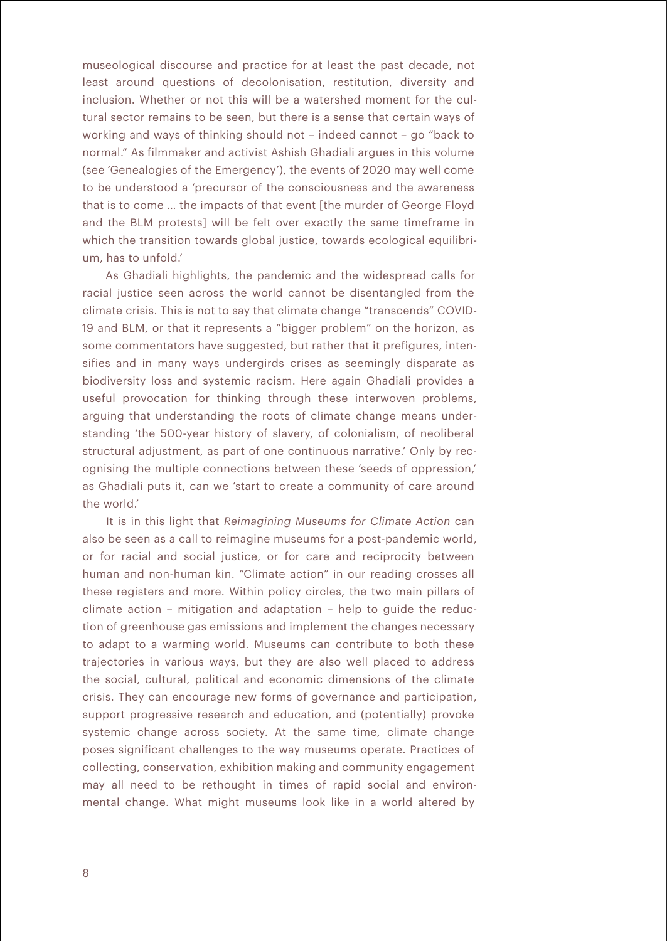museological discourse and practice for at least the past decade, not least around questions of decolonisation, restitution, diversity and inclusion. Whether or not this will be a watershed moment for the cultural sector remains to be seen, but there is a sense that certain ways of working and ways of thinking should not – indeed cannot – go "back to normal." As filmmaker and activist Ashish Ghadiali argues in this volume (see 'Genealogies of the Emergency'), the events of 2020 may well come to be understood a 'precursor of the consciousness and the awareness that is to come … the impacts of that event [the murder of George Floyd and the BLM protests] will be felt over exactly the same timeframe in which the transition towards global justice, towards ecological equilibrium, has to unfold.'

As Ghadiali highlights, the pandemic and the widespread calls for racial justice seen across the world cannot be disentangled from the climate crisis. This is not to say that climate change "transcends" COVID-19 and BLM, or that it represents a "bigger problem" on the horizon, as some commentators have suggested, but rather that it prefigures, intensifies and in many ways undergirds crises as seemingly disparate as biodiversity loss and systemic racism. Here again Ghadiali provides a useful provocation for thinking through these interwoven problems, arguing that understanding the roots of climate change means understanding 'the 500-year history of slavery, of colonialism, of neoliberal structural adjustment, as part of one continuous narrative.' Only by recognising the multiple connections between these 'seeds of oppression,' as Ghadiali puts it, can we 'start to create a community of care around the world.'

It is in this light that *Reimagining Museums for Climate Action* can also be seen as a call to reimagine museums for a post-pandemic world, or for racial and social justice, or for care and reciprocity between human and non-human kin. "Climate action" in our reading crosses all these registers and more. Within policy circles, the two main pillars of climate action – mitigation and adaptation – help to guide the reduction of greenhouse gas emissions and implement the changes necessary to adapt to a warming world. Museums can contribute to both these trajectories in various ways, but they are also well placed to address the social, cultural, political and economic dimensions of the climate crisis. They can encourage new forms of governance and participation, support progressive research and education, and (potentially) provoke systemic change across society. At the same time, climate change poses significant challenges to the way museums operate. Practices of collecting, conservation, exhibition making and community engagement may all need to be rethought in times of rapid social and environmental change. What might museums look like in a world altered by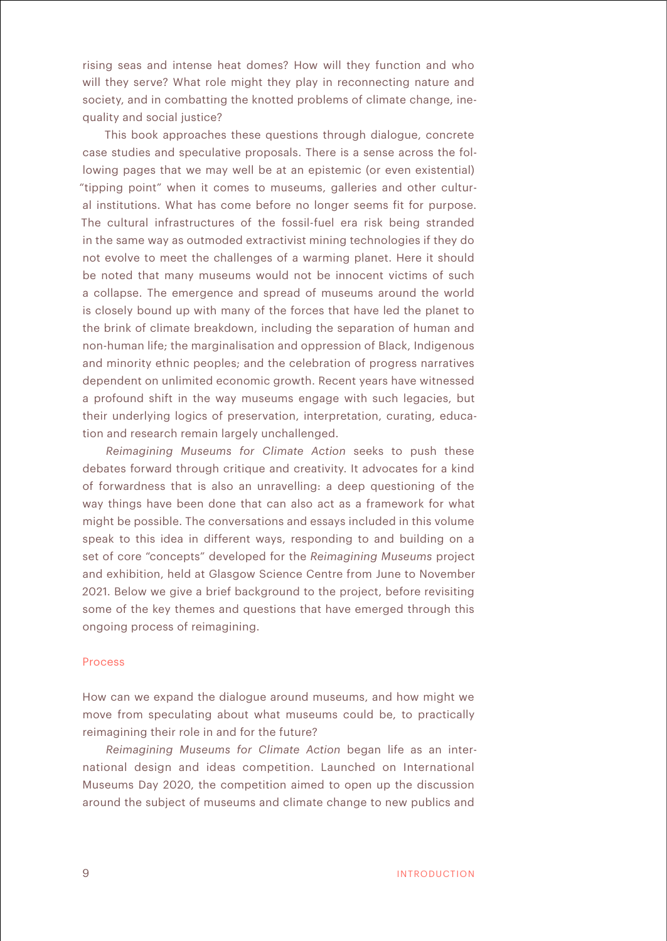rising seas and intense heat domes? How will they function and who will they serve? What role might they play in reconnecting nature and society, and in combatting the knotted problems of climate change, inequality and social justice?

This book approaches these questions through dialogue, concrete case studies and speculative proposals. There is a sense across the following pages that we may well be at an epistemic (or even existential) "tipping point" when it comes to museums, galleries and other cultural institutions. What has come before no longer seems fit for purpose. The cultural infrastructures of the fossil-fuel era risk being stranded in the same way as outmoded extractivist mining technologies if they do not evolve to meet the challenges of a warming planet. Here it should be noted that many museums would not be innocent victims of such a collapse. The emergence and spread of museums around the world is closely bound up with many of the forces that have led the planet to the brink of climate breakdown, including the separation of human and non-human life; the marginalisation and oppression of Black, Indigenous and minority ethnic peoples; and the celebration of progress narratives dependent on unlimited economic growth. Recent years have witnessed a profound shift in the way museums engage with such legacies, but their underlying logics of preservation, interpretation, curating, education and research remain largely unchallenged.

*Reimagining Museums for Climate Action* seeks to push these debates forward through critique and creativity. It advocates for a kind of forwardness that is also an unravelling: a deep questioning of the way things have been done that can also act as a framework for what might be possible. The conversations and essays included in this volume speak to this idea in different ways, responding to and building on a set of core "concepts" developed for the *Reimagining Museums* project and exhibition, held at Glasgow Science Centre from June to November 2021. Below we give a brief background to the project, before revisiting some of the key themes and questions that have emerged through this ongoing process of reimagining.

## Process

How can we expand the dialogue around museums, and how might we move from speculating about what museums could be, to practically reimagining their role in and for the future?

*Reimagining Museums for Climate Action* began life as an international design and ideas competition. Launched on International Museums Day 2020, the competition aimed to open up the discussion around the subject of museums and climate change to new publics and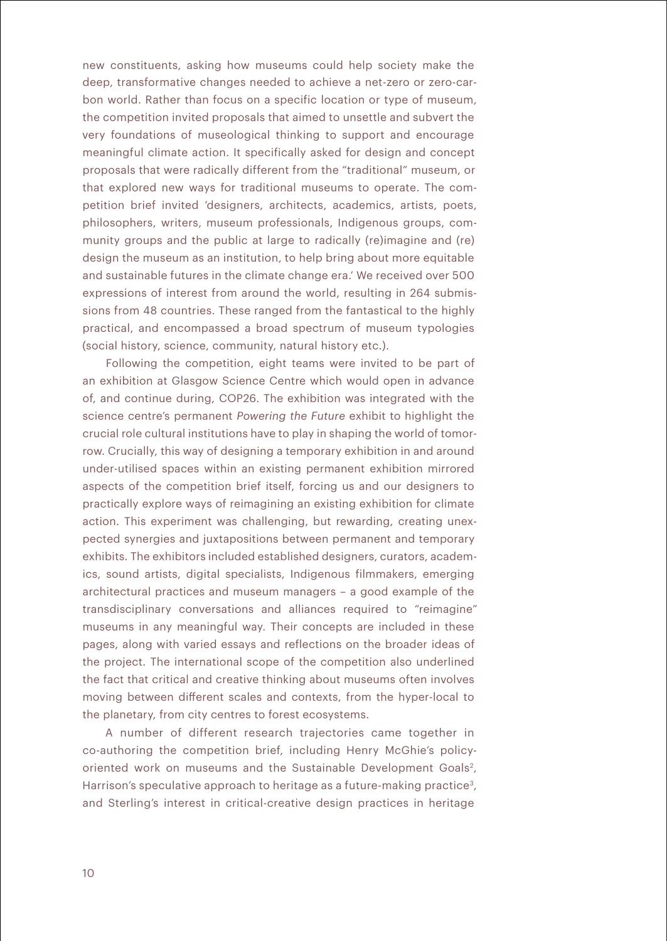new constituents, asking how museums could help society make the deep, transformative changes needed to achieve a net-zero or zero-carbon world. Rather than focus on a specific location or type of museum, the competition invited proposals that aimed to unsettle and subvert the very foundations of museological thinking to support and encourage meaningful climate action. It specifically asked for design and concept proposals that were radically different from the "traditional" museum, or that explored new ways for traditional museums to operate. The competition brief invited 'designers, architects, academics, artists, poets, philosophers, writers, museum professionals, Indigenous groups, community groups and the public at large to radically (re)imagine and (re) design the museum as an institution, to help bring about more equitable and sustainable futures in the climate change era.' We received over 500 expressions of interest from around the world, resulting in 264 submissions from 48 countries. These ranged from the fantastical to the highly practical, and encompassed a broad spectrum of museum typologies (social history, science, community, natural history etc.).

Following the competition, eight teams were invited to be part of an exhibition at Glasgow Science Centre which would open in advance of, and continue during, COP26. The exhibition was integrated with the science centre's permanent *Powering the Future* exhibit to highlight the crucial role cultural institutions have to play in shaping the world of tomorrow. Crucially, this way of designing a temporary exhibition in and around under-utilised spaces within an existing permanent exhibition mirrored aspects of the competition brief itself, forcing us and our designers to practically explore ways of reimagining an existing exhibition for climate action. This experiment was challenging, but rewarding, creating unexpected synergies and juxtapositions between permanent and temporary exhibits. The exhibitors included established designers, curators, academics, sound artists, digital specialists, Indigenous filmmakers, emerging architectural practices and museum managers – a good example of the transdisciplinary conversations and alliances required to "reimagine" museums in any meaningful way. Their concepts are included in these pages, along with varied essays and reflections on the broader ideas of the project. The international scope of the competition also underlined the fact that critical and creative thinking about museums often involves moving between different scales and contexts, from the hyper-local to the planetary, from city centres to forest ecosystems.

A number of different research trajectories came together in co-authoring the competition brief, including Henry McGhie's policyoriented work on museums and the Sustainable Development Goals<sup>2</sup>, Harrison's speculative approach to heritage as a future-making practice<sup>3</sup>, and Sterling's interest in critical-creative design practices in heritage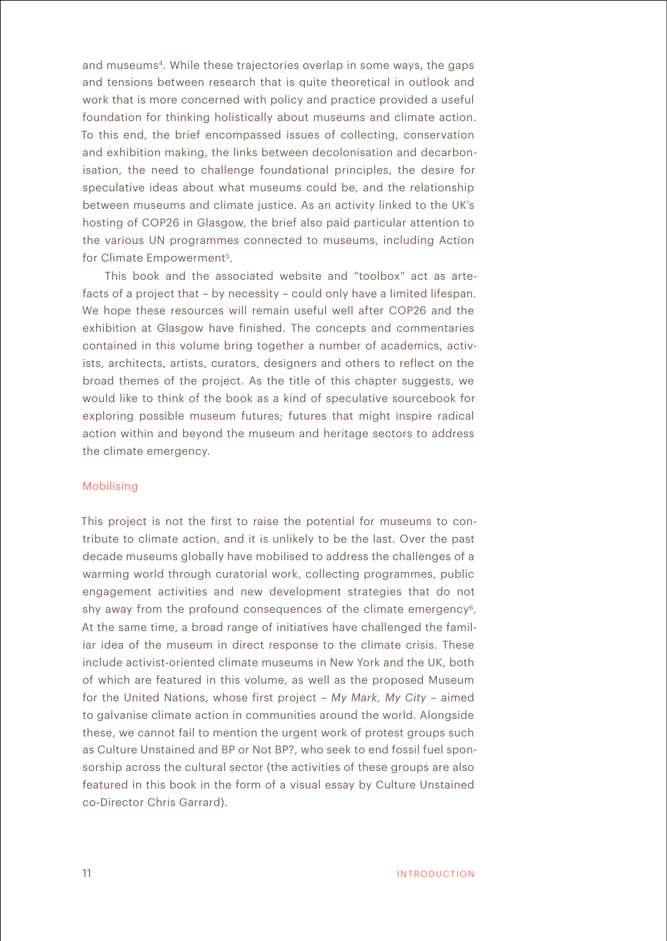and museums<sup>4</sup>. While these trajectories overlap in some ways, the gaps and tensions between research that is quite theoretical in outlook and work that is more concerned with policy and practice provided a useful foundation for thinking holistically about museums and climate action. To this end, the brief encompassed issues of collecting, conservation and exhibition making, the links between decolonisation and decarbonisation, the need to challenge foundational principles, the desire for speculative ideas about what museums could be, and the relationship between museums and climate justice. As an activity linked to the UK's hosting of COP26 in Glasgow, the brief also paid particular attention to the various UN programmes connected to museums, including Action for Climate Empowerment<sup>5</sup>.

This book and the associated website and "toolbox" act as artefacts of a project that – by necessity – could only have a limited lifespan. We hope these resources will remain useful well after COP26 and the exhibition at Glasgow have finished. The concepts and commentaries contained in this volume bring together a number of academics, activists, architects, artists, curators, designers and others to reflect on the broad themes of the project. As the title of this chapter suggests, we would like to think of the book as a kind of speculative sourcebook for exploring possible museum futures; futures that might inspire radical action within and beyond the museum and heritage sectors to address the climate emergency.

## Mobilising

This project is not the first to raise the potential for museums to contribute to climate action, and it is unlikely to be the last. Over the past decade museums globally have mobilised to address the challenges of a warming world through curatorial work, collecting programmes, public engagement activities and new development strategies that do not shy away from the profound consequences of the climate emergency<sup>6</sup>. At the same time, a broad range of initiatives have challenged the familiar idea of the museum in direct response to the climate crisis. These include activist-oriented climate museums in New York and the UK, both of which are featured in this volume, as well as the proposed Museum for the United Nations, whose first project – *My Mark, My City* – aimed to galvanise climate action in communities around the world. Alongside these, we cannot fail to mention the urgent work of protest groups such as Culture Unstained and BP or Not BP?, who seek to end fossil fuel sponsorship across the cultural sector (the activities of these groups are also featured in this book in the form of a visual essay by Culture Unstained co-Director Chris Garrard).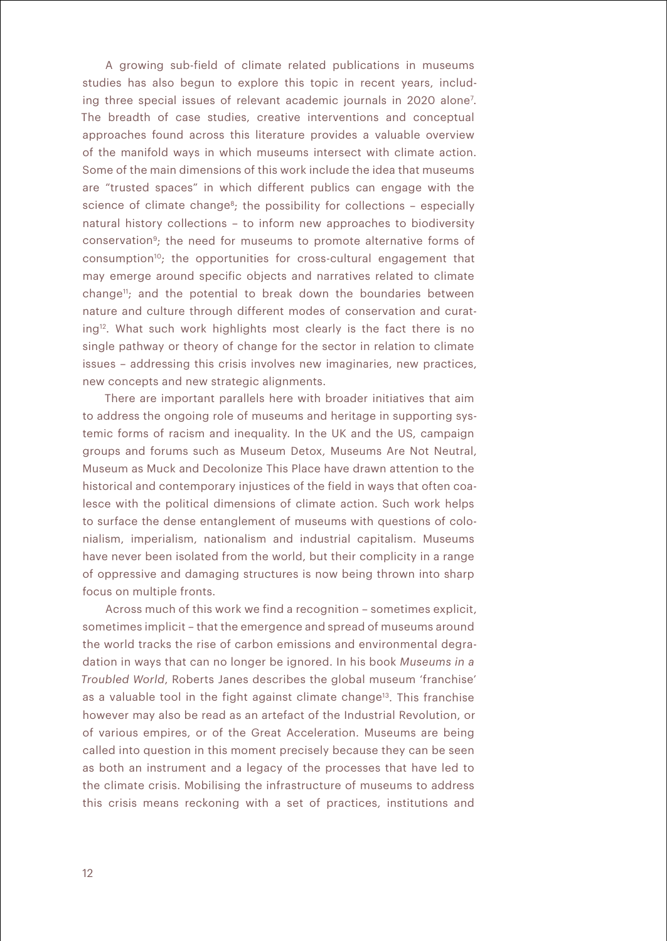A growing sub-field of climate related publications in museums studies has also begun to explore this topic in recent years, including three special issues of relevant academic journals in 2020 alone7 . The breadth of case studies, creative interventions and conceptual approaches found across this literature provides a valuable overview of the manifold ways in which museums intersect with climate action. Some of the main dimensions of this work include the idea that museums are "trusted spaces" in which different publics can engage with the science of climate change<sup>8</sup>; the possibility for collections - especially natural history collections – to inform new approaches to biodiversity conservation9; the need for museums to promote alternative forms of consumption<sup>10</sup>; the opportunities for cross-cultural engagement that may emerge around specific objects and narratives related to climate change<sup>11</sup>; and the potential to break down the boundaries between nature and culture through different modes of conservation and curating<sup>12</sup>. What such work highlights most clearly is the fact there is no single pathway or theory of change for the sector in relation to climate issues – addressing this crisis involves new imaginaries, new practices, new concepts and new strategic alignments.

There are important parallels here with broader initiatives that aim to address the ongoing role of museums and heritage in supporting systemic forms of racism and inequality. In the UK and the US, campaign groups and forums such as Museum Detox, Museums Are Not Neutral, Museum as Muck and Decolonize This Place have drawn attention to the historical and contemporary injustices of the field in ways that often coalesce with the political dimensions of climate action. Such work helps to surface the dense entanglement of museums with questions of colonialism, imperialism, nationalism and industrial capitalism. Museums have never been isolated from the world, but their complicity in a range of oppressive and damaging structures is now being thrown into sharp focus on multiple fronts.

Across much of this work we find a recognition – sometimes explicit, sometimes implicit – that the emergence and spread of museums around the world tracks the rise of carbon emissions and environmental degradation in ways that can no longer be ignored. In his book *Museums in a Troubled World*, Roberts Janes describes the global museum 'franchise' as a valuable tool in the fight against climate change<sup>13</sup>. This franchise however may also be read as an artefact of the Industrial Revolution, or of various empires, or of the Great Acceleration. Museums are being called into question in this moment precisely because they can be seen as both an instrument and a legacy of the processes that have led to the climate crisis. Mobilising the infrastructure of museums to address this crisis means reckoning with a set of practices, institutions and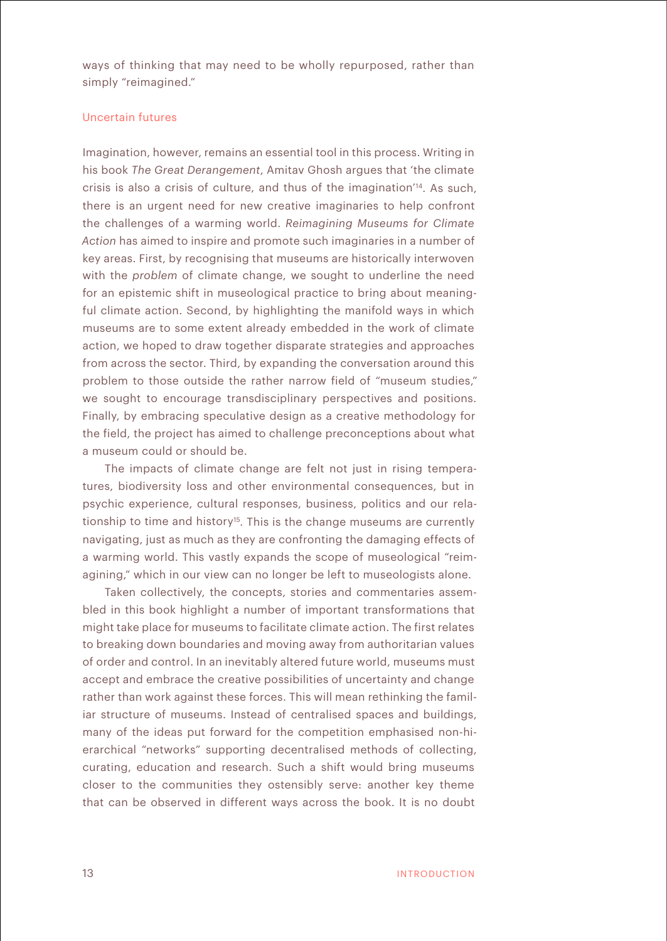ways of thinking that may need to be wholly repurposed, rather than simply "reimagined."

## Uncertain futures

Imagination, however, remains an essential tool in this process. Writing in his book *The Great Derangement*, Amitav Ghosh argues that 'the climate crisis is also a crisis of culture, and thus of the imagination'14. As such, there is an urgent need for new creative imaginaries to help confront the challenges of a warming world. *Reimagining Museums for Climate Action* has aimed to inspire and promote such imaginaries in a number of key areas. First, by recognising that museums are historically interwoven with the *problem* of climate change, we sought to underline the need for an epistemic shift in museological practice to bring about meaningful climate action. Second, by highlighting the manifold ways in which museums are to some extent already embedded in the work of climate action, we hoped to draw together disparate strategies and approaches from across the sector. Third, by expanding the conversation around this problem to those outside the rather narrow field of "museum studies," we sought to encourage transdisciplinary perspectives and positions. Finally, by embracing speculative design as a creative methodology for the field, the project has aimed to challenge preconceptions about what a museum could or should be.

The impacts of climate change are felt not just in rising temperatures, biodiversity loss and other environmental consequences, but in psychic experience, cultural responses, business, politics and our relationship to time and history<sup>15</sup>. This is the change museums are currently navigating, just as much as they are confronting the damaging effects of a warming world. This vastly expands the scope of museological "reimagining," which in our view can no longer be left to museologists alone.

Taken collectively, the concepts, stories and commentaries assembled in this book highlight a number of important transformations that might take place for museums to facilitate climate action. The first relates to breaking down boundaries and moving away from authoritarian values of order and control. In an inevitably altered future world, museums must accept and embrace the creative possibilities of uncertainty and change rather than work against these forces. This will mean rethinking the familiar structure of museums. Instead of centralised spaces and buildings, many of the ideas put forward for the competition emphasised non-hierarchical "networks" supporting decentralised methods of collecting, curating, education and research. Such a shift would bring museums closer to the communities they ostensibly serve: another key theme that can be observed in different ways across the book. It is no doubt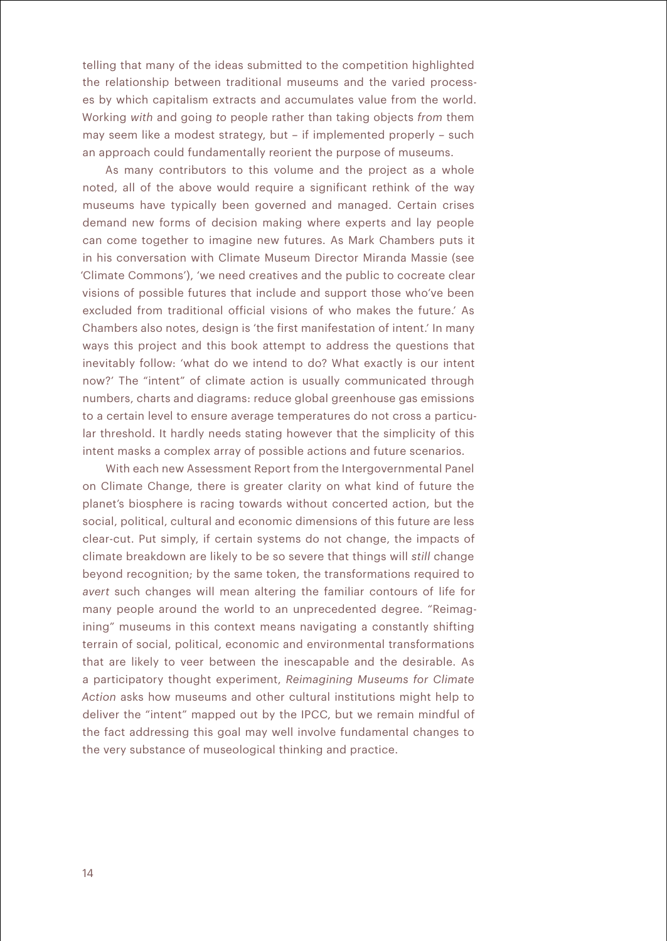telling that many of the ideas submitted to the competition highlighted the relationship between traditional museums and the varied processes by which capitalism extracts and accumulates value from the world. Working *with* and going *to* people rather than taking objects *from* them may seem like a modest strategy, but – if implemented properly – such an approach could fundamentally reorient the purpose of museums.

As many contributors to this volume and the project as a whole noted, all of the above would require a significant rethink of the way museums have typically been governed and managed. Certain crises demand new forms of decision making where experts and lay people can come together to imagine new futures. As Mark Chambers puts it in his conversation with Climate Museum Director Miranda Massie (see 'Climate Commons'), 'we need creatives and the public to cocreate clear visions of possible futures that include and support those who've been excluded from traditional official visions of who makes the future.' As Chambers also notes, design is 'the first manifestation of intent.' In many ways this project and this book attempt to address the questions that inevitably follow: 'what do we intend to do? What exactly is our intent now?' The "intent" of climate action is usually communicated through numbers, charts and diagrams: reduce global greenhouse gas emissions to a certain level to ensure average temperatures do not cross a particular threshold. It hardly needs stating however that the simplicity of this intent masks a complex array of possible actions and future scenarios.

With each new Assessment Report from the Intergovernmental Panel on Climate Change, there is greater clarity on what kind of future the planet's biosphere is racing towards without concerted action, but the social, political, cultural and economic dimensions of this future are less clear-cut. Put simply, if certain systems do not change, the impacts of climate breakdown are likely to be so severe that things will *still* change beyond recognition; by the same token, the transformations required to *avert* such changes will mean altering the familiar contours of life for many people around the world to an unprecedented degree. "Reimagining" museums in this context means navigating a constantly shifting terrain of social, political, economic and environmental transformations that are likely to veer between the inescapable and the desirable. As a participatory thought experiment, *Reimagining Museums for Climate Action* asks how museums and other cultural institutions might help to deliver the "intent" mapped out by the IPCC, but we remain mindful of the fact addressing this goal may well involve fundamental changes to the very substance of museological thinking and practice.